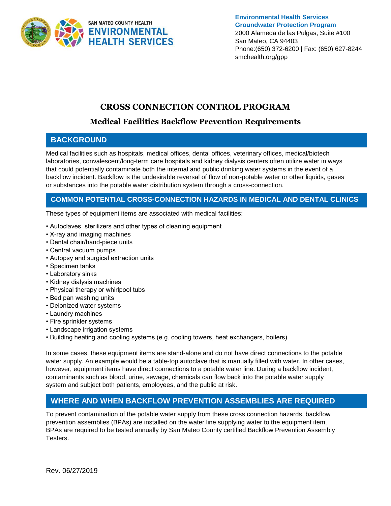

**Environmental Health Services Groundwater Protection Program** 2000 Alameda de las Pulgas, Suite #100 San Mateo, CA 94403 Phone:(650) 372-6200 | Fax: (650) 627-8244 smchealth.org/gpp

## **CROSS CONNECTION CONTROL PROGRAM**

# **Medical Facilities Backflow Prevention Requirements**

#### **BACKGROUND**

Medical facilities such as hospitals, medical offices, dental offices, veterinary offices, medical/biotech laboratories, convalescent/long-term care hospitals and kidney dialysis centers often utilize water in ways that could potentially contaminate both the internal and public drinking water systems in the event of a backflow incident. Backflow is the undesirable reversal of flow of non-potable water or other liquids, gases or substances into the potable water distribution system through a cross-connection.

#### **COMMON POTENTIAL CROSS-CONNECTION HAZARDS IN MEDICAL AND DENTAL CLINICS**

These types of equipment items are associated with medical facilities:

- Autoclaves, sterilizers and other types of cleaning equipment
- X-ray and imaging machines
- Dental chair/hand-piece units
- Central vacuum pumps
- Autopsy and surgical extraction units
- Specimen tanks
- Laboratory sinks
- Kidney dialysis machines
- Physical therapy or whirlpool tubs
- Bed pan washing units
- Deionized water systems
- Laundry machines
- Fire sprinkler systems
- Landscape irrigation systems
- Building heating and cooling systems (e.g. cooling towers, heat exchangers, boilers)

In some cases, these equipment items are stand-alone and do not have direct connections to the potable water supply. An example would be a table-top autoclave that is manually filled with water. In other cases, however, equipment items have direct connections to a potable water line. During a backflow incident, contaminants such as blood, urine, sewage, chemicals can flow back into the potable water supply system and subject both patients, employees, and the public at risk.

## **WHERE AND WHEN BACKFLOW PREVENTION ASSEMBLIES ARE REQUIRED**

To prevent contamination of the potable water supply from these cross connection hazards, backflow prevention assemblies (BPAs) are installed on the water line supplying water to the equipment item. BPAs are required to be tested annually by San Mateo County certified Backflow Prevention Assembly Testers.